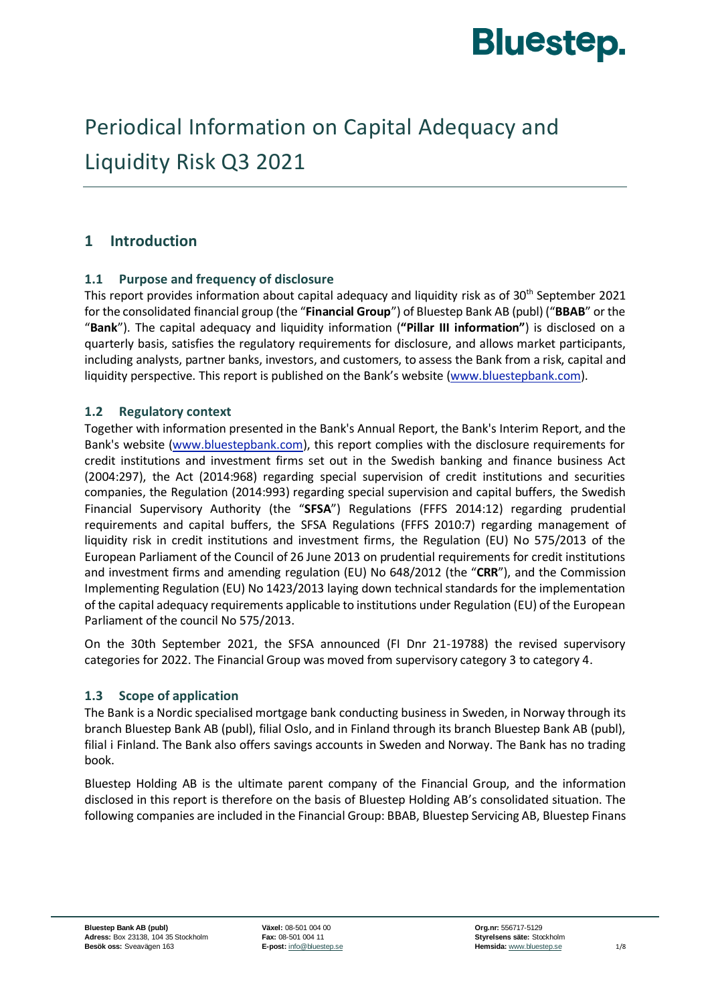

# Periodical Information on Capital Adequacy and Liquidity Risk Q3 2021

# **1 Introduction**

# **1.1 Purpose and frequency of disclosure**

This report provides information about capital adequacy and liquidity risk as of 30<sup>th</sup> September 2021 for the consolidated financial group (the "**Financial Group**") of Bluestep Bank AB (publ) ("**BBAB**" or the "**Bank**"). The capital adequacy and liquidity information (**"Pillar III information"**) is disclosed on a quarterly basis, satisfies the regulatory requirements for disclosure, and allows market participants, including analysts, partner banks, investors, and customers, to assess the Bank from a risk, capital and liquidity perspective. This report is published on the Bank's website [\(www.bluestepbank.com\)](http://www.bluestepbank.com/).

# **1.2 Regulatory context**

Together with information presented in the Bank's Annual Report, the Bank's Interim Report, and the Bank's website [\(www.bluestepbank.com\)](http://www.bluestepbank.com/), this report complies with the disclosure requirements for credit institutions and investment firms set out in the Swedish banking and finance business Act (2004:297), the Act (2014:968) regarding special supervision of credit institutions and securities companies, the Regulation (2014:993) regarding special supervision and capital buffers, the Swedish Financial Supervisory Authority (the "**SFSA**") Regulations (FFFS 2014:12) regarding prudential requirements and capital buffers, the SFSA Regulations (FFFS 2010:7) regarding management of liquidity risk in credit institutions and investment firms, the Regulation (EU) No 575/2013 of the European Parliament of the Council of 26 June 2013 on prudential requirements for credit institutions and investment firms and amending regulation (EU) No 648/2012 (the "**CRR**"), and the Commission Implementing Regulation (EU) No 1423/2013 laying down technical standards for the implementation of the capital adequacy requirements applicable to institutions under Regulation (EU) of the European Parliament of the council No 575/2013.

On the 30th September 2021, the SFSA announced (FI Dnr 21-19788) the revised supervisory categories for 2022. The Financial Group was moved from supervisory category 3 to category 4.

### **1.3 Scope of application**

The Bank is a Nordic specialised mortgage bank conducting business in Sweden, in Norway through its branch Bluestep Bank AB (publ), filial Oslo, and in Finland through its branch Bluestep Bank AB (publ), filial i Finland. The Bank also offers savings accounts in Sweden and Norway. The Bank has no trading book.

Bluestep Holding AB is the ultimate parent company of the Financial Group, and the information disclosed in this report is therefore on the basis of Bluestep Holding AB's consolidated situation. The following companies are included in the Financial Group: BBAB, Bluestep Servicing AB, Bluestep Finans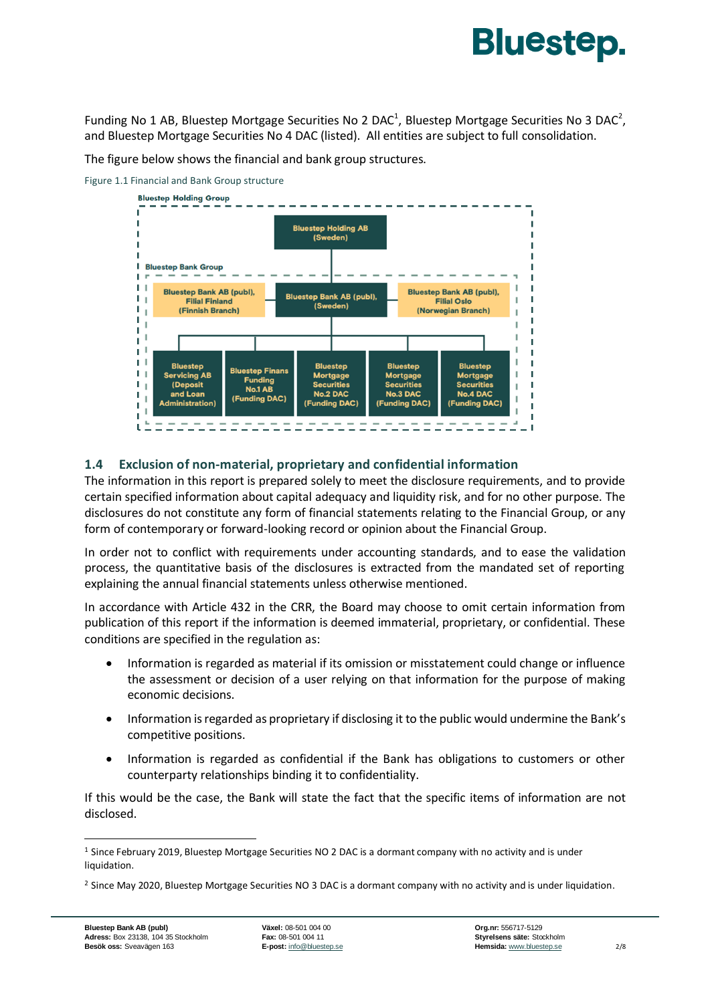# **Bluestep.**

Funding No 1 AB, Bluestep Mortgage Securities No 2 DAC<sup>1</sup>, Bluestep Mortgage Securities No 3 DAC<sup>2</sup>, and Bluestep Mortgage Securities No 4 DAC (listed). All entities are subject to full consolidation.

The figure below shows the financial and bank group structures.





# **1.4 Exclusion of non-material, proprietary and confidential information**

The information in this report is prepared solely to meet the disclosure requirements, and to provide certain specified information about capital adequacy and liquidity risk, and for no other purpose. The disclosures do not constitute any form of financial statements relating to the Financial Group, or any form of contemporary or forward-looking record or opinion about the Financial Group.

In order not to conflict with requirements under accounting standards, and to ease the validation process, the quantitative basis of the disclosures is extracted from the mandated set of reporting explaining the annual financial statements unless otherwise mentioned.

In accordance with Article 432 in the CRR, the Board may choose to omit certain information from publication of this report if the information is deemed immaterial, proprietary, or confidential. These conditions are specified in the regulation as:

- Information is regarded as material if its omission or misstatement could change or influence the assessment or decision of a user relying on that information for the purpose of making economic decisions.
- Information is regarded as proprietary if disclosing it to the public would undermine the Bank's competitive positions.
- Information is regarded as confidential if the Bank has obligations to customers or other counterparty relationships binding it to confidentiality.

If this would be the case, the Bank will state the fact that the specific items of information are not disclosed.

<sup>1</sup> Since February 2019, Bluestep Mortgage Securities NO 2 DAC is a dormant company with no activity and is under liquidation.

<sup>&</sup>lt;sup>2</sup> Since May 2020, Bluestep Mortgage Securities NO 3 DAC is a dormant company with no activity and is under liquidation.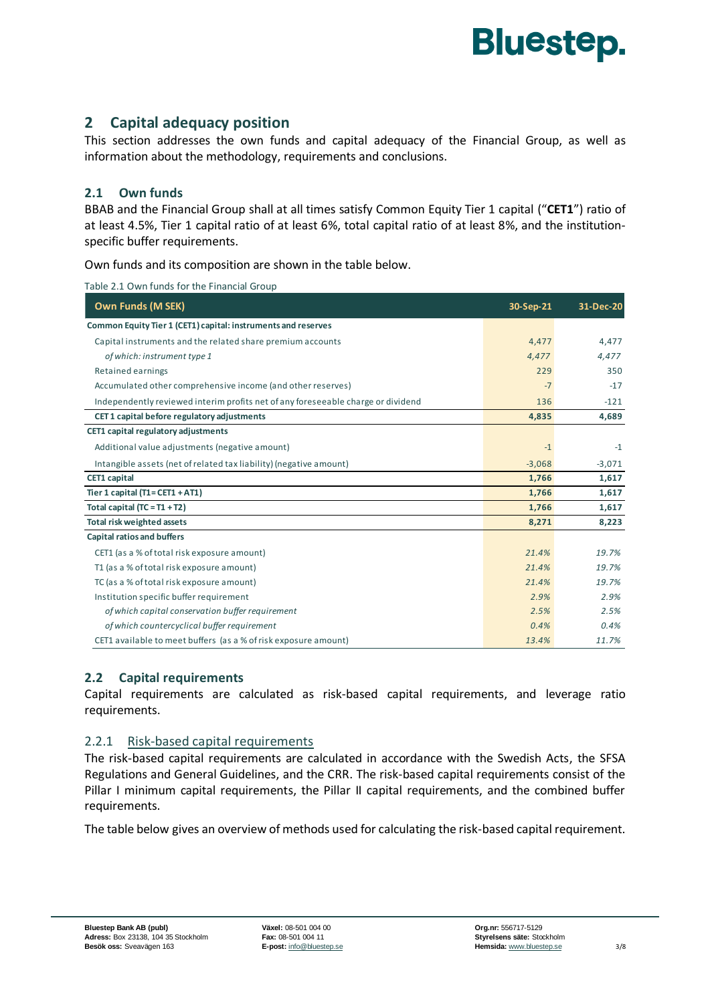

# **2 Capital adequacy position**

This section addresses the own funds and capital adequacy of the Financial Group, as well as information about the methodology, requirements and conclusions.

#### **2.1 Own funds**

BBAB and the Financial Group shall at all times satisfy Common Equity Tier 1 capital ("**CET1**") ratio of at least 4.5%, Tier 1 capital ratio of at least 6%, total capital ratio of at least 8%, and the institutionspecific buffer requirements.

Own funds and its composition are shown in the table below.

| Table 2.1 Own funds for the Financial Group |  |  |
|---------------------------------------------|--|--|
|---------------------------------------------|--|--|

| <b>Own Funds (M SEK)</b>                                                         | 30-Sep-21 | 31-Dec-20 |
|----------------------------------------------------------------------------------|-----------|-----------|
| Common Equity Tier 1 (CET1) capital: instruments and reserves                    |           |           |
| Capital instruments and the related share premium accounts                       | 4,477     | 4,477     |
| of which: instrument type 1                                                      | 4,477     | 4,477     |
| Retained earnings                                                                | 229       | 350       |
| Accumulated other comprehensive income (and other reserves)                      | $-7$      | $-17$     |
| Independently reviewed interim profits net of any foreseeable charge or dividend | 136       | $-121$    |
| CET 1 capital before regulatory adjustments                                      | 4,835     | 4,689     |
| CET1 capital regulatory adjustments                                              |           |           |
| Additional value adjustments (negative amount)                                   | $-1$      | $-1$      |
| Intangible assets (net of related tax liability) (negative amount)               | $-3,068$  | $-3,071$  |
| <b>CET1</b> capital                                                              | 1,766     | 1,617     |
| Tier 1 capital $(T1 = CET1 + AT1)$                                               | 1,766     | 1,617     |
| Total capital $(TC = T1 + T2)$                                                   | 1,766     | 1,617     |
| Total risk weighted assets                                                       | 8,271     | 8,223     |
| <b>Capital ratios and buffers</b>                                                |           |           |
| CET1 (as a % of total risk exposure amount)                                      | 21.4%     | 19.7%     |
| T1 (as a % of total risk exposure amount)                                        | 21.4%     | 19.7%     |
| TC (as a % of total risk exposure amount)                                        | 21.4%     | 19.7%     |
| Institution specific buffer requirement                                          | 2.9%      | 2.9%      |
| of which capital conservation buffer requirement                                 | 2.5%      | 2.5%      |
| of which countercyclical buffer requirement                                      | 0.4%      | 0.4%      |
| CET1 available to meet buffers (as a % of risk exposure amount)                  | 13.4%     | 11.7%     |

### **2.2 Capital requirements**

Capital requirements are calculated as risk-based capital requirements, and leverage ratio requirements.

#### 2.2.1 Risk-based capital requirements

The risk-based capital requirements are calculated in accordance with the Swedish Acts, the SFSA Regulations and General Guidelines, and the CRR. The risk-based capital requirements consist of the Pillar I minimum capital requirements, the Pillar II capital requirements, and the combined buffer requirements.

The table below gives an overview of methods used for calculating the risk-based capital requirement.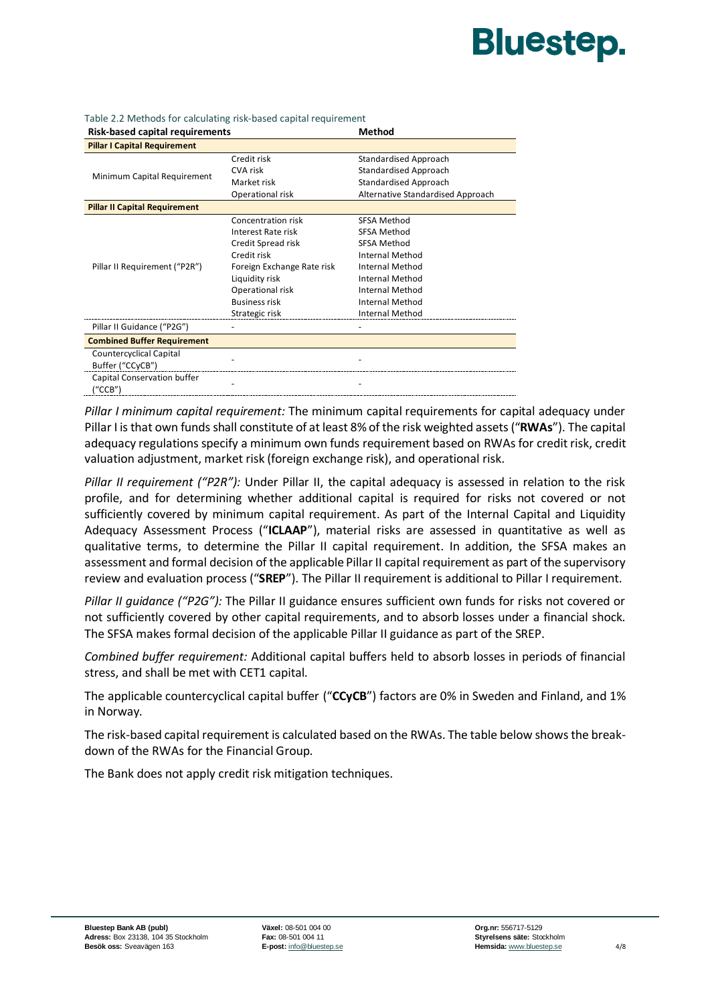# **Bluestep.**

| Risk-based capital requirements      |                            | Method                            |
|--------------------------------------|----------------------------|-----------------------------------|
| <b>Pillar I Capital Requirement</b>  |                            |                                   |
|                                      | Credit risk                | Standardised Approach             |
|                                      | CVA risk                   | <b>Standardised Approach</b>      |
| Minimum Capital Requirement          | Market risk                | Standardised Approach             |
|                                      | Operational risk           | Alternative Standardised Approach |
| <b>Pillar II Capital Requirement</b> |                            |                                   |
|                                      | Concentration risk         | <b>SFSA Method</b>                |
|                                      | Interest Rate risk         | SFSA Method                       |
|                                      | Credit Spread risk         | SFSA Method                       |
|                                      | Credit risk                | <b>Internal Method</b>            |
| Pillar II Requirement ("P2R")        | Foreign Exchange Rate risk | <b>Internal Method</b>            |
|                                      | Liquidity risk             | Internal Method                   |
|                                      | Operational risk           | <b>Internal Method</b>            |
|                                      | <b>Business risk</b>       | <b>Internal Method</b>            |
|                                      | Strategic risk             | Internal Method                   |
| Pillar II Guidance ("P2G")           |                            |                                   |
| <b>Combined Buffer Requirement</b>   |                            |                                   |
| <b>Countercyclical Capital</b>       |                            |                                   |
| Buffer ("CCyCB")                     |                            |                                   |
| Capital Conservation buffer          |                            |                                   |
| ("CCB")                              |                            |                                   |

Table 2.2 Methods for calculating risk-based capital requirement<br>Pick based capital requirements

*Pillar I minimum capital requirement:* The minimum capital requirements for capital adequacy under Pillar I is that own funds shall constitute of at least 8% of the risk weighted assets ("**RWAs**"). The capital adequacy regulations specify a minimum own funds requirement based on RWAs for credit risk, credit valuation adjustment, market risk (foreign exchange risk), and operational risk.

*Pillar II requirement ("P2R"):* Under Pillar II, the capital adequacy is assessed in relation to the risk profile, and for determining whether additional capital is required for risks not covered or not sufficiently covered by minimum capital requirement. As part of the Internal Capital and Liquidity Adequacy Assessment Process ("**ICLAAP**"), material risks are assessed in quantitative as well as qualitative terms, to determine the Pillar II capital requirement. In addition, the SFSA makes an assessment and formal decision of the applicable Pillar II capital requirement as part of the supervisory review and evaluation process ("**SREP**"). The Pillar II requirement is additional to Pillar I requirement.

*Pillar II guidance ("P2G"):* The Pillar II guidance ensures sufficient own funds for risks not covered or not sufficiently covered by other capital requirements, and to absorb losses under a financial shock. The SFSA makes formal decision of the applicable Pillar II guidance as part of the SREP.

*Combined buffer requirement:* Additional capital buffers held to absorb losses in periods of financial stress, and shall be met with CET1 capital.

The applicable countercyclical capital buffer ("**CCyCB**") factors are 0% in Sweden and Finland, and 1% in Norway.

The risk-based capital requirement is calculated based on the RWAs. The table below shows the breakdown of the RWAs for the Financial Group.

The Bank does not apply credit risk mitigation techniques.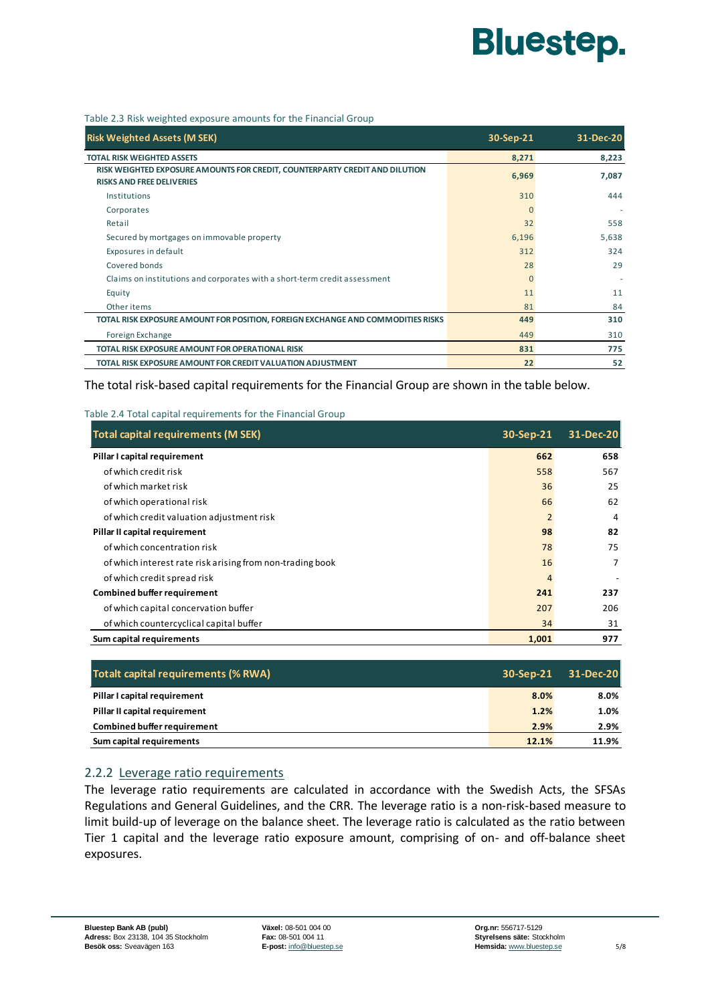# **Bluestep.**

Table 2.3 Risk weighted exposure amounts for the Financial Group

| <b>Risk Weighted Assets (M SEK)</b>                                                                             | 30-Sep-21 | 31-Dec-20 |
|-----------------------------------------------------------------------------------------------------------------|-----------|-----------|
| <b>TOTAL RISK WEIGHTED ASSETS</b>                                                                               | 8,271     | 8,223     |
| RISK WEIGHTED EXPOSURE AMOUNTS FOR CREDIT, COUNTERPARTY CREDIT AND DILUTION<br><b>RISKS AND FREE DELIVERIES</b> | 6,969     | 7,087     |
| Institutions                                                                                                    | 310       | 444       |
| Corporates                                                                                                      | $\Omega$  |           |
| Retail                                                                                                          | 32        | 558       |
| Secured by mortgages on immovable property                                                                      | 6,196     | 5,638     |
| Exposures in default                                                                                            | 312       | 324       |
| Covered bonds                                                                                                   | 28        | 29        |
| Claims on institutions and corporates with a short-term credit assessment                                       | $\Omega$  |           |
| Equity                                                                                                          | 11        | 11        |
| Other items                                                                                                     | 81        | 84        |
| TOTAL RISK EXPOSURE AMOUNT FOR POSITION, FOREIGN EXCHANGE AND COMMODITIES RISKS                                 | 449       | 310       |
| Foreign Exchange                                                                                                | 449       | 310       |
| <b>TOTAL RISK EXPOSURE AMOUNT FOR OPERATIONAL RISK</b>                                                          | 831       | 775       |
| TOTAL RISK EXPOSURE AMOUNT FOR CREDIT VALUATION ADJUSTMENT                                                      | 22        | 52        |

The total risk-based capital requirements for the Financial Group are shown in the table below.

#### Table 2.4 Total capital requirements for the Financial Group

| <b>Total capital requirements (M SEK)</b>                 | 30-Sep-21      | 31-Dec-20 |
|-----------------------------------------------------------|----------------|-----------|
| Pillar I capital requirement                              | 662            | 658       |
| of which credit risk                                      | 558            | 567       |
| of which market risk                                      | 36             | 25        |
| of which operational risk                                 | 66             | 62        |
| of which credit valuation adjustment risk                 | $\overline{2}$ | 4         |
| Pillar II capital requirement                             | 98             | 82        |
| of which concentration risk                               | 78             | 75        |
| of which interest rate risk arising from non-trading book | 16             | 7         |
| of which credit spread risk                               | 4              |           |
| <b>Combined buffer requirement</b>                        | 241            | 237       |
| of which capital concervation buffer                      | 207            | 206       |
| of which countercyclical capital buffer                   | 34             | 31        |
| Sum capital requirements                                  | 1,001          | 977       |

| <b>Totalt capital requirements (% RWA)</b> | 30-Sep-21 | 31-Dec-20 |
|--------------------------------------------|-----------|-----------|
| Pillar I capital requirement               | 8.0%      | $8.0\%$   |
| Pillar II capital requirement              | 1.2%      | 1.0%      |
| <b>Combined buffer requirement</b>         | 2.9%      | 2.9%      |
| Sum capital requirements                   | 12.1%     | 11.9%     |

#### 2.2.2 Leverage ratio requirements

The leverage ratio requirements are calculated in accordance with the Swedish Acts, the SFSAs Regulations and General Guidelines, and the CRR. The leverage ratio is a non-risk-based measure to limit build-up of leverage on the balance sheet. The leverage ratio is calculated as the ratio between Tier 1 capital and the leverage ratio exposure amount, comprising of on- and off-balance sheet exposures.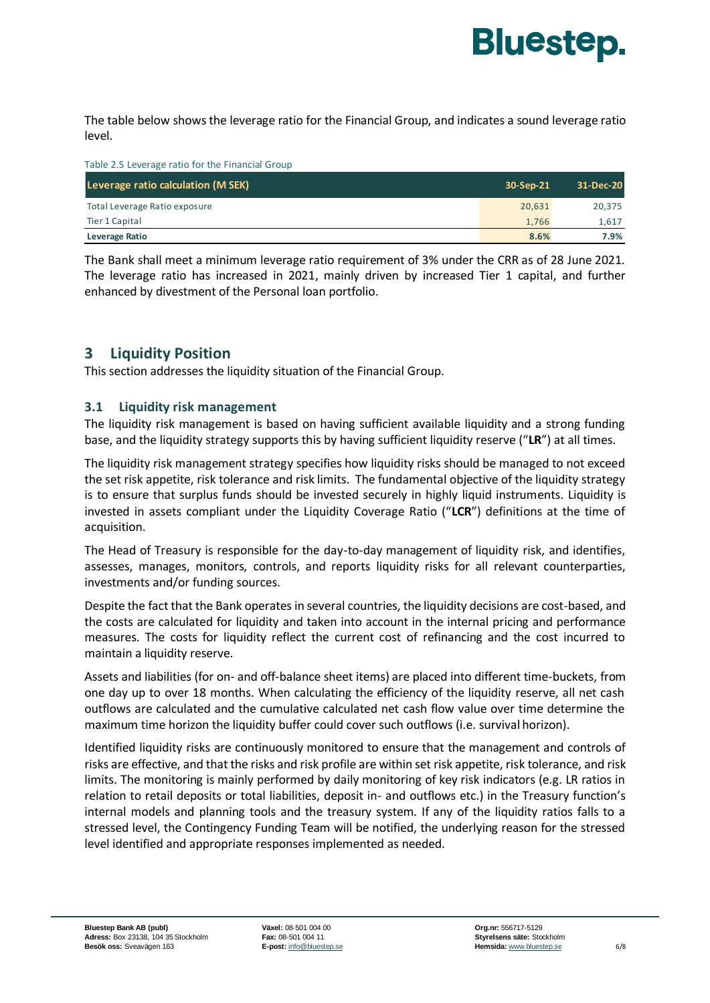

The table below shows the leverage ratio for the Financial Group, and indicates a sound leverage ratio level.

| Table 2.5 Leverage ratio for the Financial Group |           |           |
|--------------------------------------------------|-----------|-----------|
| Leverage ratio calculation (M SEK)               | 30-Sep-21 | 31-Dec-20 |
| Total Leverage Ratio exposure                    | 20,631    | 20,375    |
| Tier 1 Capital                                   | 1.766     | 1,617     |
| Leverage Ratio                                   | 8.6%      | 7.9%      |

The Bank shall meet a minimum leverage ratio requirement of 3% under the CRR as of 28 June 2021. The leverage ratio has increased in 2021, mainly driven by increased Tier 1 capital, and further enhanced by divestment of the Personal loan portfolio.

# **3 Liquidity Position**

This section addresses the liquidity situation of the Financial Group.

### **3.1 Liquidity risk management**

The liquidity risk management is based on having sufficient available liquidity and a strong funding base, and the liquidity strategy supports this by having sufficient liquidity reserve ("**LR**") at all times.

The liquidity risk management strategy specifies how liquidity risks should be managed to not exceed the set risk appetite, risk tolerance and risk limits. The fundamental objective of the liquidity strategy is to ensure that surplus funds should be invested securely in highly liquid instruments. Liquidity is invested in assets compliant under the Liquidity Coverage Ratio ("**LCR**") definitions at the time of acquisition.

The Head of Treasury is responsible for the day-to-day management of liquidity risk, and identifies, assesses, manages, monitors, controls, and reports liquidity risks for all relevant counterparties, investments and/or funding sources.

Despite the fact that the Bank operates in several countries, the liquidity decisions are cost-based, and the costs are calculated for liquidity and taken into account in the internal pricing and performance measures. The costs for liquidity reflect the current cost of refinancing and the cost incurred to maintain a liquidity reserve.

Assets and liabilities (for on- and off-balance sheet items) are placed into different time-buckets, from one day up to over 18 months. When calculating the efficiency of the liquidity reserve, all net cash outflows are calculated and the cumulative calculated net cash flow value over time determine the maximum time horizon the liquidity buffer could cover such outflows (i.e. survival horizon).

Identified liquidity risks are continuously monitored to ensure that the management and controls of risks are effective, and that the risks and risk profile are within set risk appetite, risk tolerance, and risk limits. The monitoring is mainly performed by daily monitoring of key risk indicators (e.g. LR ratios in relation to retail deposits or total liabilities, deposit in- and outflows etc.) in the Treasury function's internal models and planning tools and the treasury system. If any of the liquidity ratios falls to a stressed level, the Contingency Funding Team will be notified, the underlying reason for the stressed level identified and appropriate responses implemented as needed.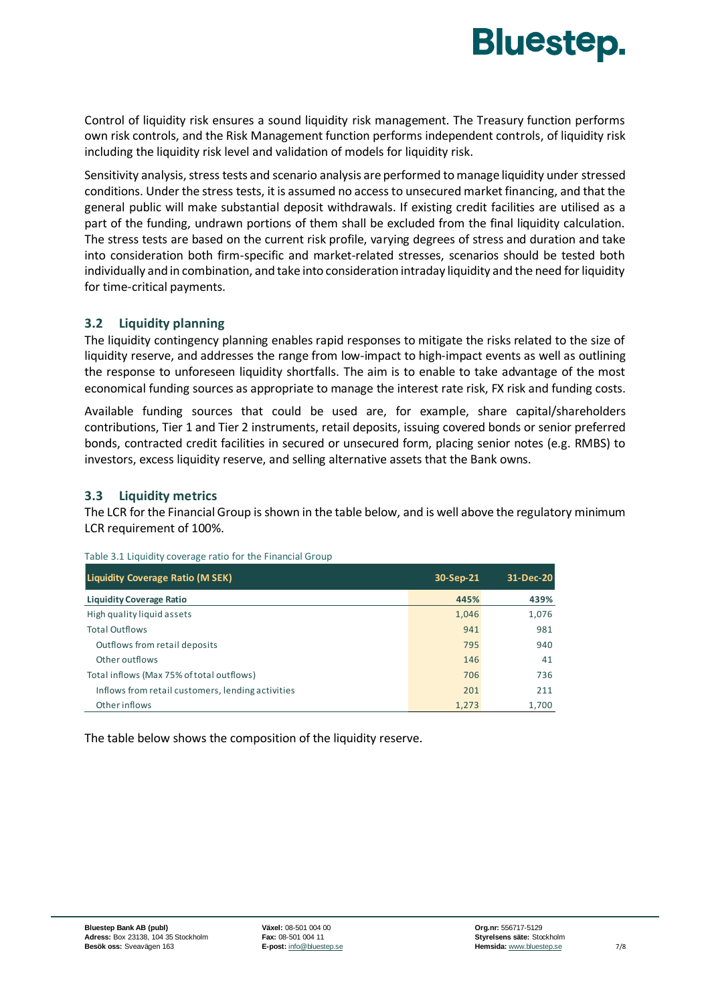

Control of liquidity risk ensures a sound liquidity risk management. The Treasury function performs own risk controls, and the Risk Management function performs independent controls, of liquidity risk including the liquidity risk level and validation of models for liquidity risk.

Sensitivity analysis, stress tests and scenario analysis are performed to manage liquidity under stressed conditions. Under the stress tests, it is assumed no access to unsecured market financing, and that the general public will make substantial deposit withdrawals. If existing credit facilities are utilised as a part of the funding, undrawn portions of them shall be excluded from the final liquidity calculation. The stress tests are based on the current risk profile, varying degrees of stress and duration and take into consideration both firm-specific and market-related stresses, scenarios should be tested both individually and in combination, and take into consideration intraday liquidity and the need for liquidity for time-critical payments.

#### **3.2 Liquidity planning**

The liquidity contingency planning enables rapid responses to mitigate the risks related to the size of liquidity reserve, and addresses the range from low-impact to high-impact events as well as outlining the response to unforeseen liquidity shortfalls. The aim is to enable to take advantage of the most economical funding sources as appropriate to manage the interest rate risk, FX risk and funding costs.

Available funding sources that could be used are, for example, share capital/shareholders contributions, Tier 1 and Tier 2 instruments, retail deposits, issuing covered bonds or senior preferred bonds, contracted credit facilities in secured or unsecured form, placing senior notes (e.g. RMBS) to investors, excess liquidity reserve, and selling alternative assets that the Bank owns.

#### **3.3 Liquidity metrics**

The LCR for the Financial Group is shown in the table below, and is well above the regulatory minimum LCR requirement of 100%.

| Liquidity Coverage Ratio (M SEK)                  | 30-Sep-21 | 31-Dec-20 |
|---------------------------------------------------|-----------|-----------|
| <b>Liquidity Coverage Ratio</b>                   | 445%      | 439%      |
| High quality liquid assets                        | 1,046     | 1,076     |
| <b>Total Outflows</b>                             | 941       | 981       |
| Outflows from retail deposits                     | 795       | 940       |
| Other outflows                                    | 146       | 41        |
| Total inflows (Max 75% of total outflows)         | 706       | 736       |
| Inflows from retail customers, lending activities | 201       | 211       |
| Other inflows                                     | 1.273     | 1.700     |

Table 3.1 Liquidity coverage ratio for the Financial Group

The table below shows the composition of the liquidity reserve.